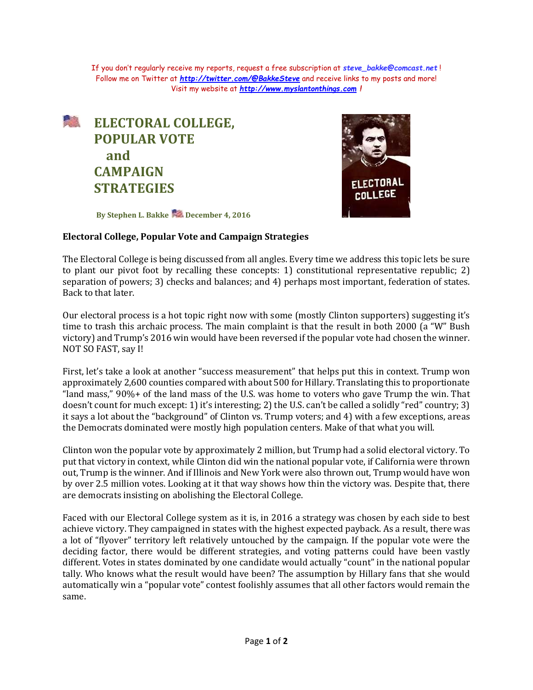If you don't regularly receive my reports, request a free subscription at *[steve\\_bakke@comcast.net](mailto:steve_bakke@comcast.net)* ! Follow me on Twitter at *<http://twitter.com/@BakkeSteve>* and receive links to my posts and more! Visit my website at *[http://www.myslantonthings.com](http://www.myslantonthings.com/) !*

## **<u> 是</u>** ELECTORAL COLLEGE, **POPULAR VOTE and CAMPAIGN STRATEGIES**



**By Stephen L. Bakke December 4, 2016**

## **Electoral College, Popular Vote and Campaign Strategies**

The Electoral College is being discussed from all angles. Every time we address this topic lets be sure to plant our pivot foot by recalling these concepts: 1) constitutional representative republic; 2) separation of powers; 3) checks and balances; and 4) perhaps most important, federation of states. Back to that later.

Our electoral process is a hot topic right now with some (mostly Clinton supporters) suggesting it's time to trash this archaic process. The main complaint is that the result in both 2000 (a "W" Bush victory) and Trump's 2016 win would have been reversed if the popular vote had chosen the winner. NOT SO FAST, say I!

First, let's take a look at another "success measurement" that helps put this in context. Trump won approximately 2,600 counties compared with about 500 for Hillary. Translating this to proportionate "land mass," 90%+ of the land mass of the U.S. was home to voters who gave Trump the win. That doesn't count for much except: 1) it's interesting; 2) the U.S. can't be called a solidly "red" country; 3) it says a lot about the "background" of Clinton vs. Trump voters; and 4) with a few exceptions, areas the Democrats dominated were mostly high population centers. Make of that what you will.

Clinton won the popular vote by approximately 2 million, but Trump had a solid electoral victory. To put that victory in context, while Clinton did win the national popular vote, if California were thrown out, Trump is the winner. And if Illinois and New York were also thrown out, Trump would have won by over 2.5 million votes. Looking at it that way shows how thin the victory was. Despite that, there are democrats insisting on abolishing the Electoral College.

Faced with our Electoral College system as it is, in 2016 a strategy was chosen by each side to best achieve victory. They campaigned in states with the highest expected payback. As a result, there was a lot of "flyover" territory left relatively untouched by the campaign. If the popular vote were the deciding factor, there would be different strategies, and voting patterns could have been vastly different. Votes in states dominated by one candidate would actually "count" in the national popular tally. Who knows what the result would have been? The assumption by Hillary fans that she would automatically win a "popular vote" contest foolishly assumes that all other factors would remain the same.